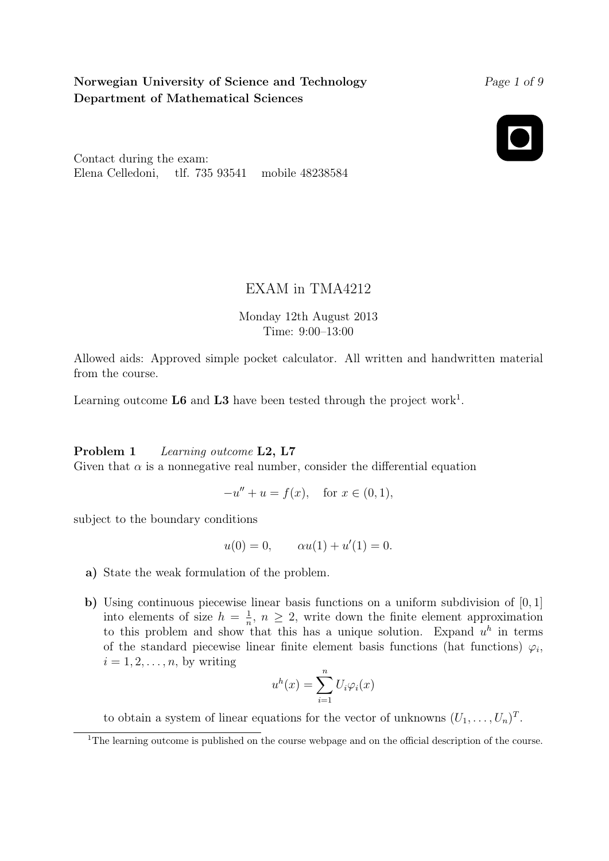# Norwegian University of Science and Technology Department of Mathematical Sciences

Page 1 of 9



Contact during the exam: Elena Celledoni, tlf. 735 93541 mobile 48238584

# EXAM in TMA4212

Monday 12th August 2013 Time: 9:00–13:00

Allowed aids: Approved simple pocket calculator. All written and handwritten material from the course.

Learning outcome  $\mathbf{L6}$  and  $\mathbf{L3}$  have been tested through the project work<sup>1</sup>.

## Problem 1 Learning outcome L2, L7

Given that  $\alpha$  is a nonnegative real number, consider the differential equation

$$
-u'' + u = f(x), \text{ for } x \in (0,1),
$$

subject to the boundary conditions

$$
u(0) = 0,
$$
  $\alpha u(1) + u'(1) = 0.$ 

- a) State the weak formulation of the problem.
- b) Using continuous piecewise linear basis functions on a uniform subdivision of [0, 1] into elements of size  $h = \frac{1}{n}$  $\frac{1}{n}$ ,  $n \geq 2$ , write down the finite element approximation to this problem and show that this has a unique solution. Expand  $u^h$  in terms of the standard piecewise linear finite element basis functions (hat functions)  $\varphi_i$ ,  $i = 1, 2, \ldots, n$ , by writing

$$
u^{h}(x) = \sum_{i=1}^{n} U_{i} \varphi_{i}(x)
$$

to obtain a system of linear equations for the vector of unknowns  $(U_1, \ldots, U_n)^T$ .

<sup>&</sup>lt;sup>1</sup>The learning outcome is published on the course webpage and on the official description of the course.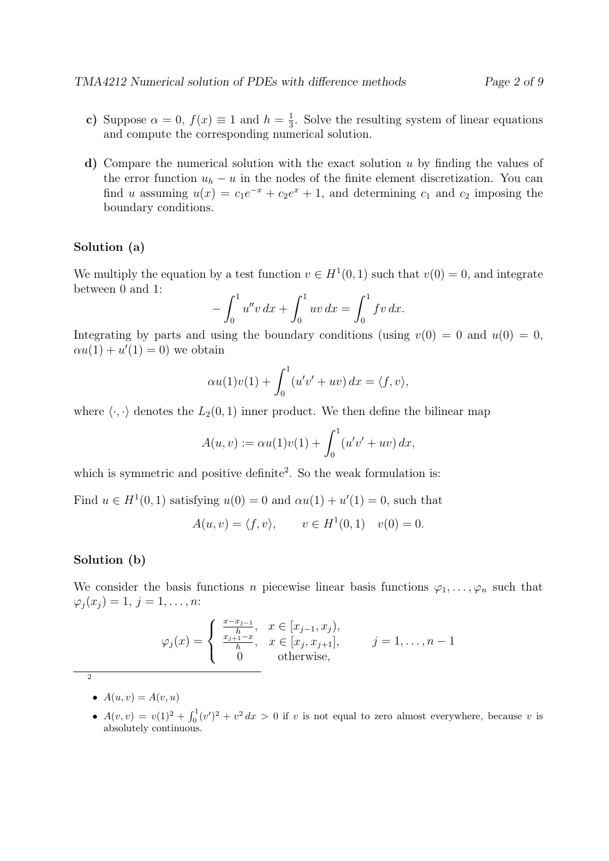- c) Suppose  $\alpha = 0$ ,  $f(x) \equiv 1$  and  $h = \frac{1}{3}$  $\frac{1}{3}$ . Solve the resulting system of linear equations and compute the corresponding numerical solution.
- d) Compare the numerical solution with the exact solution u by finding the values of the error function  $u_h - u$  in the nodes of the finite element discretization. You can find u assuming  $u(x) = c_1 e^{-x} + c_2 e^x + 1$ , and determining  $c_1$  and  $c_2$  imposing the boundary conditions.

### Solution (a)

We multiply the equation by a test function  $v \in H^1(0,1)$  such that  $v(0) = 0$ , and integrate between 0 and 1:

$$
-\int_0^1 u''v \, dx + \int_0^1 uv \, dx = \int_0^1 fv \, dx.
$$

Integrating by parts and using the boundary conditions (using  $v(0) = 0$  and  $u(0) = 0$ ,  $\alpha u(1) + u'(1) = 0$  we obtain

$$
\alpha u(1)v(1) + \int_0^1 (u'v' + uv) \, dx = \langle f, v \rangle,
$$

where  $\langle \cdot, \cdot \rangle$  denotes the  $L_2(0, 1)$  inner product. We then define the bilinear map

$$
A(u, v) := \alpha u(1)v(1) + \int_0^1 (u'v' + uv) \, dx,
$$

which is symmetric and positive definite<sup>2</sup>. So the weak formulation is:

Find  $u \in H^1(0,1)$  satisfying  $u(0) = 0$  and  $\alpha u(1) + u'(1) = 0$ , such that

$$
A(u, v) = \langle f, v \rangle
$$
,  $v \in H^1(0, 1) \quad v(0) = 0$ .

#### Solution (b)

We consider the basis functions n piecewise linear basis functions  $\varphi_1, \ldots, \varphi_n$  such that  $\varphi_i(x_i) = 1, j = 1, \ldots, n$ :

$$
\varphi_j(x) = \begin{cases} \frac{x - x_{j-1}}{h}, & x \in [x_{j-1}, x_j), \\ \frac{x_{j+1} - x}{h}, & x \in [x_j, x_{j+1}], \\ 0 & \text{otherwise}, \end{cases} \qquad j = 1, \dots, n-1
$$

 $\overline{2}$ 

- $A(u, v) = A(v, u)$
- $A(v, v) = v(1)^2 + \int_0^1 (v')^2 + v^2 dx > 0$  if v is not equal to zero almost everywhere, because v is absolutely continuous.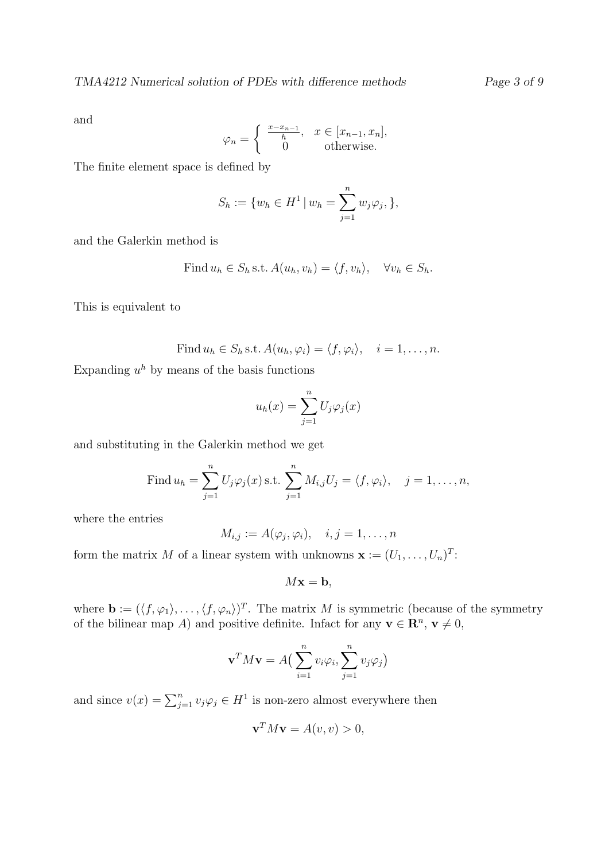and

$$
\varphi_n = \begin{cases} \frac{x - x_{n-1}}{h}, & x \in [x_{n-1}, x_n], \\ 0 & \text{otherwise.} \end{cases}
$$

The finite element space is defined by

$$
S_h := \{ w_h \in H^1 \, | \, w_h = \sum_{j=1}^n w_j \varphi_j, \},
$$

and the Galerkin method is

Find 
$$
u_h \in S_h
$$
 s.t.  $A(u_h, v_h) = \langle f, v_h \rangle$ ,  $\forall v_h \in S_h$ .

This is equivalent to

Find 
$$
u_h \in S_h
$$
 s.t.  $A(u_h, \varphi_i) = \langle f, \varphi_i \rangle$ ,  $i = 1, ..., n$ .

Expanding  $u^h$  by means of the basis functions

$$
u_h(x) = \sum_{j=1}^n U_j \varphi_j(x)
$$

and substituting in the Galerkin method we get

Find 
$$
u_h = \sum_{j=1}^n U_j \varphi_j(x)
$$
 s.t.  $\sum_{j=1}^n M_{i,j} U_j = \langle f, \varphi_i \rangle$ ,  $j = 1, ..., n$ ,

where the entries

$$
M_{i,j} := A(\varphi_j, \varphi_i), \quad i, j = 1, \dots, n
$$

form the matrix M of a linear system with unknowns  $\mathbf{x} := (U_1, \ldots, U_n)^T$ :

 $Mx = b$ ,

where  $\mathbf{b} := (\langle f, \varphi_1 \rangle, \ldots, \langle f, \varphi_n \rangle)^T$ . The matrix M is symmetric (because of the symmetry of the bilinear map A) and positive definite. Infact for any  $\mathbf{v} \in \mathbb{R}^n$ ,  $\mathbf{v} \neq 0$ ,

$$
\mathbf{v}^T M \mathbf{v} = A \left( \sum_{i=1}^n v_i \varphi_i, \sum_{j=1}^n v_j \varphi_j \right)
$$

and since  $v(x) = \sum_{j=1}^{n} v_j \varphi_j \in H^1$  is non-zero almost everywhere then

$$
\mathbf{v}^T M \mathbf{v} = A(v, v) > 0,
$$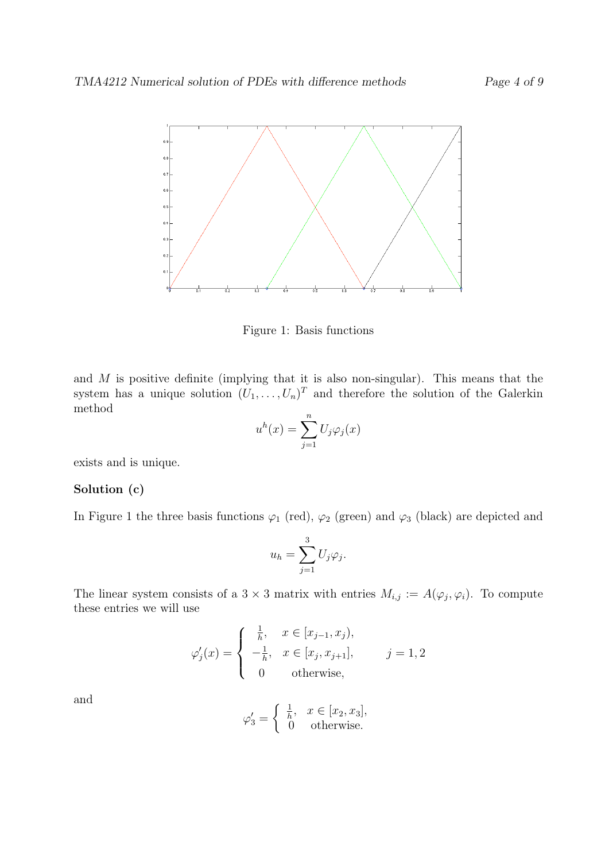

Figure 1: Basis functions

and M is positive definite (implying that it is also non-singular). This means that the system has a unique solution  $(U_1, \ldots, U_n)^T$  and therefore the solution of the Galerkin method

$$
u^{h}(x) = \sum_{j=1}^{n} U_{j} \varphi_{j}(x)
$$

exists and is unique.

### Solution (c)

In Figure 1 the three basis functions  $\varphi_1$  (red),  $\varphi_2$  (green) and  $\varphi_3$  (black) are depicted and

$$
u_h = \sum_{j=1}^3 U_j \varphi_j.
$$

The linear system consists of a  $3 \times 3$  matrix with entries  $M_{i,j} := A(\varphi_j, \varphi_i)$ . To compute these entries we will use

$$
\varphi'_{j}(x) = \begin{cases} \frac{1}{h}, & x \in [x_{j-1}, x_{j}), \\ -\frac{1}{h}, & x \in [x_{j}, x_{j+1}], \\ 0 & \text{otherwise}, \end{cases} \qquad j = 1, 2
$$

and

$$
\varphi_3' = \begin{cases} \frac{1}{h}, & x \in [x_2, x_3], \\ 0 & \text{otherwise.} \end{cases}
$$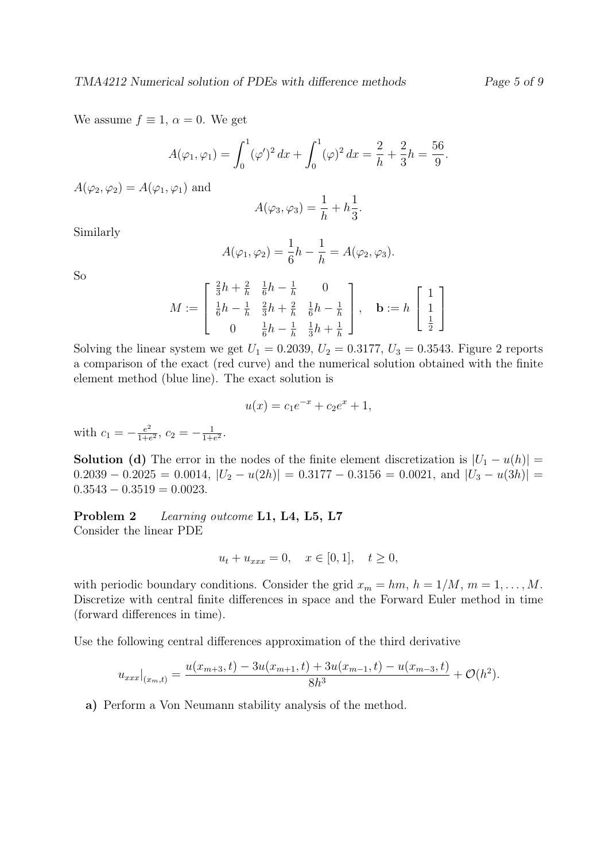We assume  $f \equiv 1, \alpha = 0$ . We get

$$
A(\varphi_1, \varphi_1) = \int_0^1 (\varphi')^2 dx + \int_0^1 (\varphi)^2 dx = \frac{2}{h} + \frac{2}{3}h = \frac{56}{9}.
$$

 $A(\varphi_2, \varphi_2) = A(\varphi_1, \varphi_1)$  and

$$
A(\varphi_3, \varphi_3) = \frac{1}{h} + h\frac{1}{3}.
$$

Similarly

$$
A(\varphi_1, \varphi_2) = \frac{1}{6}h - \frac{1}{h} = A(\varphi_2, \varphi_3).
$$

So

$$
M := \begin{bmatrix} \frac{2}{3}h + \frac{2}{h} & \frac{1}{6}h - \frac{1}{h} & 0\\ \frac{1}{6}h - \frac{1}{h} & \frac{2}{3}h + \frac{2}{h} & \frac{1}{6}h - \frac{1}{h} \\ 0 & \frac{1}{6}h - \frac{1}{h} & \frac{1}{3}h + \frac{1}{h} \end{bmatrix}, \quad \mathbf{b} := h \begin{bmatrix} 1\\ 1\\ \frac{1}{2} \end{bmatrix}
$$

Solving the linear system we get  $U_1 = 0.2039, U_2 = 0.3177, U_3 = 0.3543$ . Figure 2 reports a comparison of the exact (red curve) and the numerical solution obtained with the finite element method (blue line). The exact solution is

$$
u(x) = c_1 e^{-x} + c_2 e^x + 1,
$$

with  $c_1 = -\frac{e^2}{1+e^2}$  $\frac{e^2}{1+e^2}$ ,  $c_2 = -\frac{1}{1+e^2}$  $\frac{1}{1+e^2}$ .

**Solution (d)** The error in the nodes of the finite element discretization is  $|U_1 - u(h)| =$  $0.2039 - 0.2025 = 0.0014$ ,  $|U_2 - u(2h)| = 0.3177 - 0.3156 = 0.0021$ , and  $|U_3 - u(3h)| =$  $0.3543 - 0.3519 = 0.0023$ .

Problem 2 Learning outcome L1, L4, L5, L7 Consider the linear PDE

$$
u_t + u_{xxx} = 0, \quad x \in [0, 1], \quad t \ge 0,
$$

with periodic boundary conditions. Consider the grid  $x_m = hm, h = 1/M, m = 1, ..., M$ . Discretize with central finite differences in space and the Forward Euler method in time (forward differences in time).

Use the following central differences approximation of the third derivative

$$
u_{xxx}|_{(x_m,t)} = \frac{u(x_{m+3},t) - 3u(x_{m+1},t) + 3u(x_{m-1},t) - u(x_{m-3},t)}{8h^3} + \mathcal{O}(h^2).
$$

a) Perform a Von Neumann stability analysis of the method.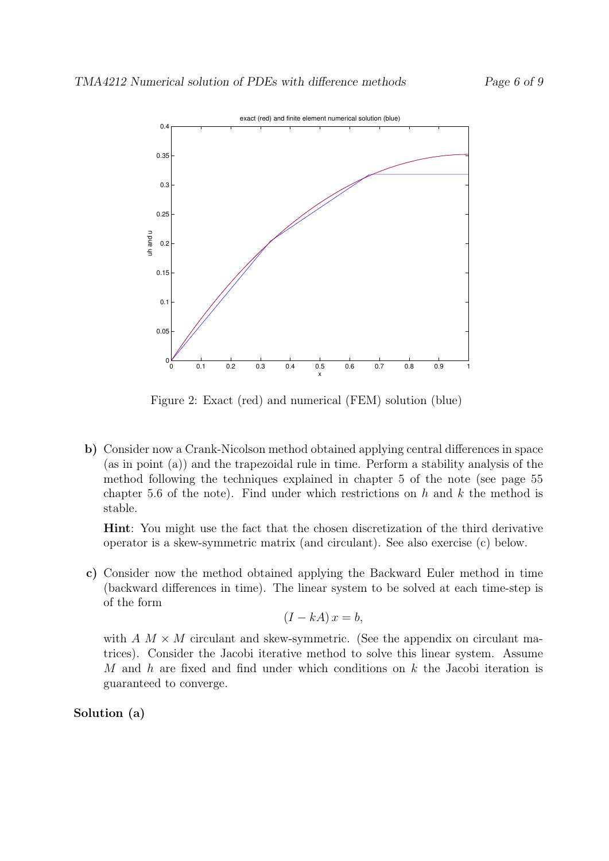

Figure 2: Exact (red) and numerical (FEM) solution (blue)

b) Consider now a Crank-Nicolson method obtained applying central differences in space (as in point (a)) and the trapezoidal rule in time. Perform a stability analysis of the method following the techniques explained in chapter 5 of the note (see page 55 chapter 5.6 of the note). Find under which restrictions on  $h$  and  $k$  the method is stable.

Hint: You might use the fact that the chosen discretization of the third derivative operator is a skew-symmetric matrix (and circulant). See also exercise (c) below.

c) Consider now the method obtained applying the Backward Euler method in time (backward differences in time). The linear system to be solved at each time-step is of the form

$$
(I - kA)x = b,
$$

with  $A \, M \times M$  circulant and skew-symmetric. (See the appendix on circulant matrices). Consider the Jacobi iterative method to solve this linear system. Assume M and h are fixed and find under which conditions on  $k$  the Jacobi iteration is guaranteed to converge.

Solution (a)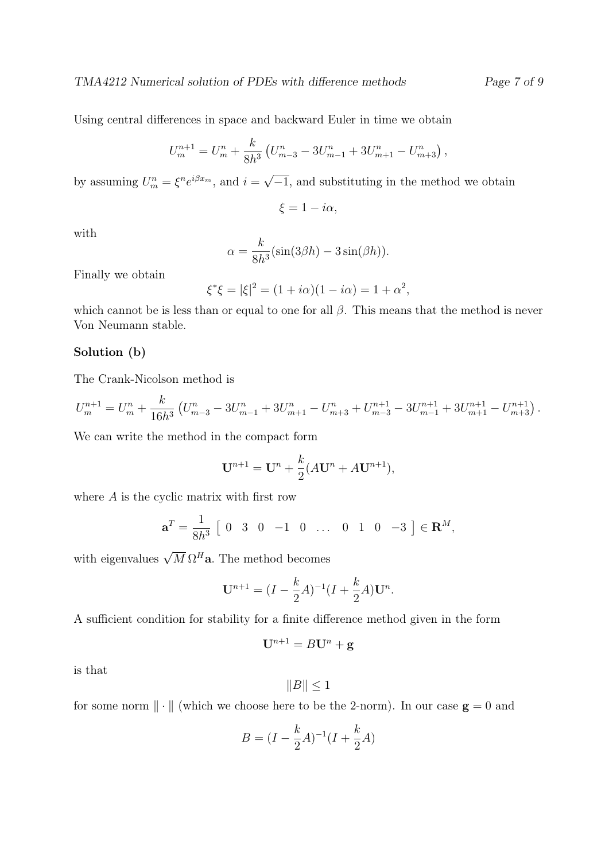Using central differences in space and backward Euler in time we obtain

$$
U_m^{n+1} = U_m^n + \frac{k}{8h^3} \left( U_{m-3}^n - 3U_{m-1}^n + 3U_{m+1}^n - U_{m+3}^n \right),
$$

by assuming  $U_m^n = \xi^n e^{i\beta x_m}$ , and  $i =$ √  $-1$ , and substituting in the method we obtain

$$
\xi = 1 - i\alpha,
$$

with

$$
\alpha = \frac{k}{8h^3} (\sin(3\beta h) - 3\sin(\beta h)).
$$

Finally we obtain

$$
\xi^* \xi = |\xi|^2 = (1 + i\alpha)(1 - i\alpha) = 1 + \alpha^2,
$$

which cannot be is less than or equal to one for all  $\beta$ . This means that the method is never Von Neumann stable.

## Solution (b)

The Crank-Nicolson method is

$$
U_m^{n+1} = U_m^n + \frac{k}{16h^3} \left( U_{m-3}^n - 3U_{m-1}^n + 3U_{m+1}^n - U_{m+3}^n + U_{m-3}^{n+1} - 3U_{m-1}^{n+1} + 3U_{m+1}^{n+1} - U_{m+3}^{n+1} \right).
$$

We can write the method in the compact form

$$
\mathbf{U}^{n+1} = \mathbf{U}^n + \frac{k}{2}(A\mathbf{U}^n + A\mathbf{U}^{n+1}),
$$

where  $A$  is the cyclic matrix with first row

$$
\mathbf{a}^T = \frac{1}{8h^3} \begin{bmatrix} 0 & 3 & 0 & -1 & 0 & \dots & 0 & 1 & 0 & -3 \end{bmatrix} \in \mathbf{R}^M,
$$

with eigenvalues  $\sqrt{M} \Omega^H \mathbf{a}$ . The method becomes

$$
\mathbf{U}^{n+1} = (I - \frac{k}{2}A)^{-1}(I + \frac{k}{2}A)\mathbf{U}^n.
$$

A sufficient condition for stability for a finite difference method given in the form

$$
\mathbf{U}^{n+1} = B\mathbf{U}^n + \mathbf{g}
$$

is that

$$
||B|| \leq 1
$$

for some norm  $\|\cdot\|$  (which we choose here to be the 2-norm). In our case  $g = 0$  and

$$
B = (I - \frac{k}{2}A)^{-1}(I + \frac{k}{2}A)
$$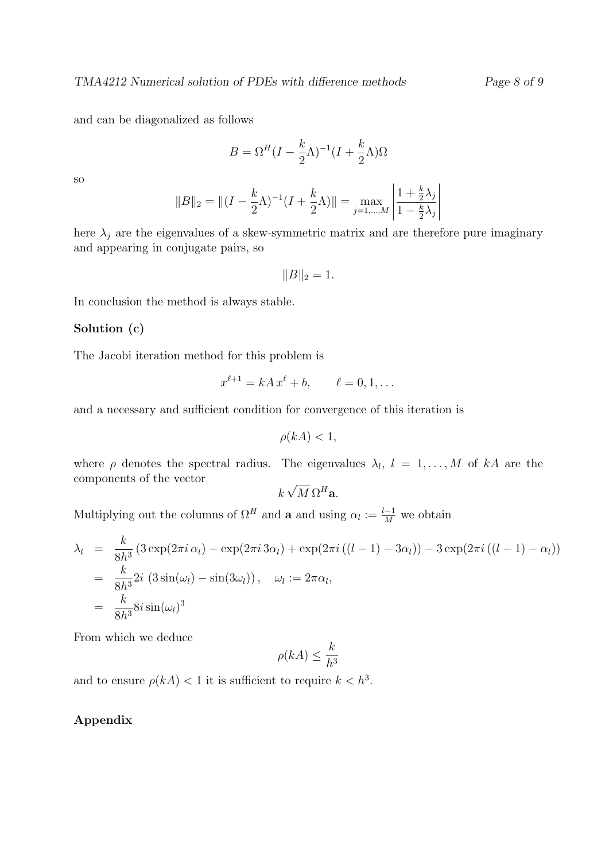and can be diagonalized as follows

$$
B = \Omega^H (I - \frac{k}{2}\Lambda)^{-1} (I + \frac{k}{2}\Lambda)\Omega
$$

so

$$
||B||_2 = ||(I - \frac{k}{2}\Lambda)^{-1}(I + \frac{k}{2}\Lambda)|| = \max_{j=1,\dots,M} \left| \frac{1 + \frac{k}{2}\lambda_j}{1 - \frac{k}{2}\lambda_j} \right|
$$

here  $\lambda_j$  are the eigenvalues of a skew-symmetric matrix and are therefore pure imaginary and appearing in conjugate pairs, so

 $||B||_2 = 1.$ 

In conclusion the method is always stable.

## Solution (c)

The Jacobi iteration method for this problem is

$$
x^{\ell+1} = kA x^{\ell} + b, \qquad \ell = 0, 1, \dots
$$

and a necessary and sufficient condition for convergence of this iteration is

$$
\rho(kA) < 1,
$$

where  $\rho$  denotes the spectral radius. The eigenvalues  $\lambda_l$ ,  $l = 1, \ldots, M$  of kA are the components of the vector √

$$
k\sqrt{M}\,\Omega^H\mathbf{a}.
$$

Multiplying out the columns of  $\Omega^H$  and **a** and using  $\alpha_l := \frac{l-1}{M}$  we obtain

$$
\lambda_l = \frac{k}{8h^3} \left( 3 \exp(2\pi i \alpha_l) - \exp(2\pi i 3\alpha_l) + \exp(2\pi i \left( (l-1) - 3\alpha_l \right) \right) - 3 \exp(2\pi i \left( (l-1) - \alpha_l \right))
$$
  
= 
$$
\frac{k}{8h^3} 2i \left( 3 \sin(\omega_l) - \sin(3\omega_l) \right), \quad \omega_l := 2\pi \alpha_l,
$$
  
= 
$$
\frac{k}{8h^3} 8i \sin(\omega_l)^3
$$

From which we deduce

$$
\rho(kA) \le \frac{k}{h^3}
$$

and to ensure  $\rho(kA) < 1$  it is sufficient to require  $k < h^3$ .

#### Appendix